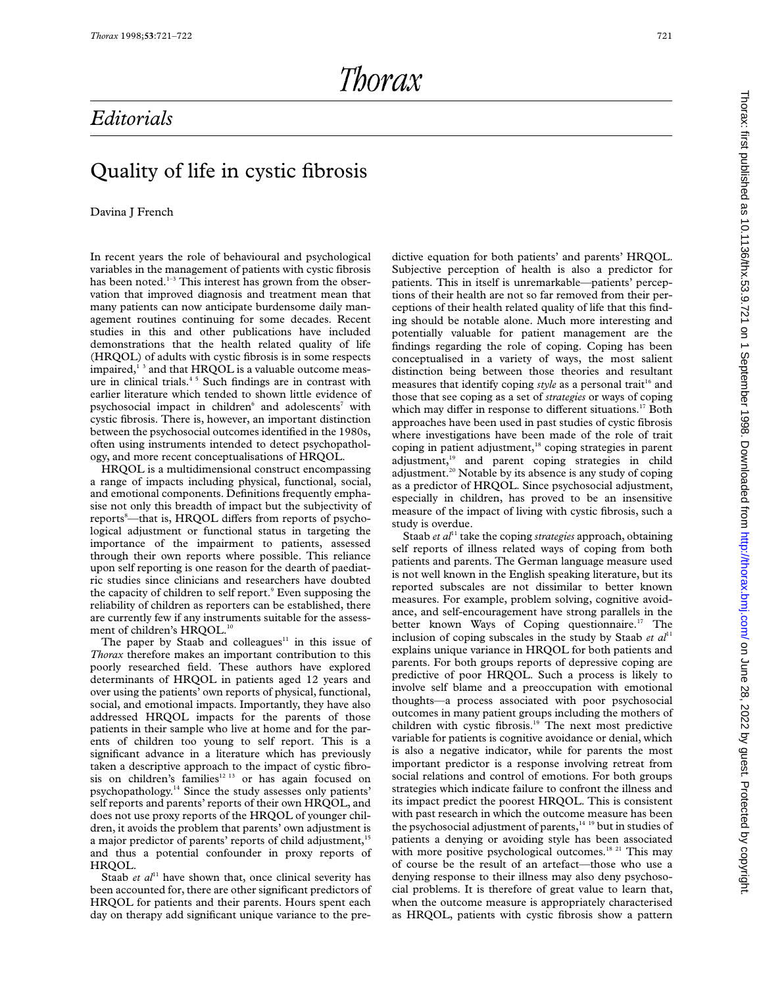## *Editorials*

## Quality of life in cystic fibrosis

## Davina J French

In recent years the role of behavioural and psychological variables in the management of patients with cystic fibrosis has been noted. $1-3$  This interest has grown from the observation that improved diagnosis and treatment mean that many patients can now anticipate burdensome daily management routines continuing for some decades. Recent studies in this and other publications have included demonstrations that the health related quality of life (HRQOL) of adults with cystic fibrosis is in some respects impaired,<sup>13</sup> and that HRQOL is a valuable outcome measure in clinical trials.<sup>45</sup> Such findings are in contrast with earlier literature which tended to shown little evidence of psychosocial impact in children<sup>6</sup> and adolescents<sup>7</sup> with cystic fibrosis. There is, however, an important distinction between the psychosocial outcomes identified in the 1980s, often using instruments intended to detect psychopathology, and more recent conceptualisations of HRQOL.

HRQOL is a multidimensional construct encompassing a range of impacts including physical, functional, social, and emotional components. Definitions frequently emphasise not only this breadth of impact but the subjectivity of reports<sup>8</sup>—that is, HRQOL differs from reports of psychological adjustment or functional status in targeting the importance of the impairment to patients, assessed through their own reports where possible. This reliance upon self reporting is one reason for the dearth of paediatric studies since clinicians and researchers have doubted the capacity of children to self report.<sup>9</sup> Even supposing the reliability of children as reporters can be established, there are currently few if any instruments suitable for the assessment of children's HRQOL.<sup>10</sup>

The paper by Staab and colleagues $11$  in this issue of *Thorax* therefore makes an important contribution to this poorly researched field. These authors have explored determinants of HRQOL in patients aged 12 years and over using the patients' own reports of physical, functional, social, and emotional impacts. Importantly, they have also addressed HRQOL impacts for the parents of those patients in their sample who live at home and for the parents of children too young to self report. This is a significant advance in a literature which has previously taken a descriptive approach to the impact of cystic fibrosis on children's families<sup>12 13</sup> or has again focused on psychopathology.14 Since the study assesses only patients' self reports and parents' reports of their own HRQOL, and does not use proxy reports of the HRQOL of younger children, it avoids the problem that parents' own adjustment is a major predictor of parents' reports of child adjustment,<sup>15</sup> and thus a potential confounder in proxy reports of HRQOL.

Staab *et al*<sup>11</sup> have shown that, once clinical severity has been accounted for, there are other significant predictors of HRQOL for patients and their parents. Hours spent each day on therapy add significant unique variance to the predictive equation for both patients' and parents' HRQOL. Subjective perception of health is also a predictor for patients. This in itself is unremarkable—patients' perceptions of their health are not so far removed from their perceptions of their health related quality of life that this finding should be notable alone. Much more interesting and potentially valuable for patient management are the findings regarding the role of coping. Coping has been conceptualised in a variety of ways, the most salient distinction being between those theories and resultant measures that identify coping *style* as a personal trait<sup>16</sup> and those that see coping as a set of *strategies* or ways of coping which may differ in response to different situations.<sup>17</sup> Both approaches have been used in past studies of cystic fibrosis where investigations have been made of the role of trait coping in patient adjustment,<sup>18</sup> coping strategies in parent adjustment,<sup>19</sup> and parent coping strategies in child adjustment.<sup>20</sup> Notable by its absence is any study of coping as a predictor of HRQOL. Since psychosocial adjustment, especially in children, has proved to be an insensitive measure of the impact of living with cystic fibrosis, such a study is overdue.

Staab *et al*<sup>11</sup> take the coping *strategies* approach, obtaining self reports of illness related ways of coping from both patients and parents. The German language measure used is not well known in the English speaking literature, but its reported subscales are not dissimilar to better known measures. For example, problem solving, cognitive avoidance, and self-encouragement have strong parallels in the better known Ways of Coping questionnaire.<sup>17</sup> The inclusion of coping subscales in the study by Staab *et al*<sup>11</sup> explains unique variance in HRQOL for both patients and parents. For both groups reports of depressive coping are predictive of poor HRQOL. Such a process is likely to involve self blame and a preoccupation with emotional thoughts—a process associated with poor psychosocial outcomes in many patient groups including the mothers of children with cystic fibrosis.<sup>19</sup> The next most predictive variable for patients is cognitive avoidance or denial, which is also a negative indicator, while for parents the most important predictor is a response involving retreat from social relations and control of emotions. For both groups strategies which indicate failure to confront the illness and its impact predict the poorest HRQOL. This is consistent with past research in which the outcome measure has been the psychosocial adjustment of parents,<sup>14 19</sup> but in studies of patients a denying or avoiding style has been associated with more positive psychological outcomes.<sup>18 21</sup> This may of course be the result of an artefact—those who use a denying response to their illness may also deny psychosocial problems. It is therefore of great value to learn that, when the outcome measure is appropriately characterised as HRQOL, patients with cystic fibrosis show a pattern